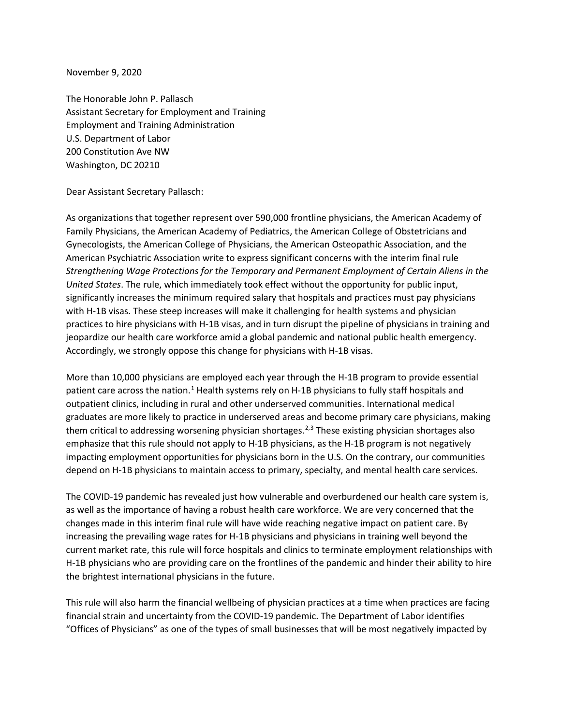November 9, 2020

The Honorable John P. Pallasch Assistant Secretary for Employment and Training Employment and Training Administration U.S. Department of Labor 200 Constitution Ave NW Washington, DC 20210

Dear Assistant Secretary Pallasch:

As organizations that together represent over 590,000 frontline physicians, the American Academy of Family Physicians, the American Academy of Pediatrics, the American College of Obstetricians and Gynecologists, the American College of Physicians, the American Osteopathic Association, and the American Psychiatric Association write to express significant concerns with the interim final rule *Strengthening Wage Protections for the Temporary and Permanent Employment of Certain Aliens in the United States*. The rule, which immediately took effect without the opportunity for public input, significantly increases the minimum required salary that hospitals and practices must pay physicians with H-1B visas. These steep increases will make it challenging for health systems and physician practices to hire physicians with H-1B visas, and in turn disrupt the pipeline of physicians in training and jeopardize our health care workforce amid a global pandemic and national public health emergency. Accordingly, we strongly oppose this change for physicians with H-1B visas.

More than 10,000 physicians are employed each year through the H-1B program to provide essential patient care across the nation.<sup>[1](#page-1-0)</sup> Health systems rely on H-1B physicians to fully staff hospitals and outpatient clinics, including in rural and other underserved communities. International medical graduates are more likely to practice in underserved areas and become primary care physicians, making them critical to addressing worsening physician shortages.<sup>[2,](#page-1-1)[3](#page-1-2)</sup> These existing physician shortages also emphasize that this rule should not apply to H-1B physicians, as the H-1B program is not negatively impacting employment opportunities for physicians born in the U.S. On the contrary, our communities depend on H-1B physicians to maintain access to primary, specialty, and mental health care services.

The COVID-19 pandemic has revealed just how vulnerable and overburdened our health care system is, as well as the importance of having a robust health care workforce. We are very concerned that the changes made in this interim final rule will have wide reaching negative impact on patient care. By increasing the prevailing wage rates for H-1B physicians and physicians in training well beyond the current market rate, this rule will force hospitals and clinics to terminate employment relationships with H-1B physicians who are providing care on the frontlines of the pandemic and hinder their ability to hire the brightest international physicians in the future.

This rule will also harm the financial wellbeing of physician practices at a time when practices are facing financial strain and uncertainty from the COVID-19 pandemic. The Department of Labor identifies "Offices of Physicians" as one of the types of small businesses that will be most negatively impacted by